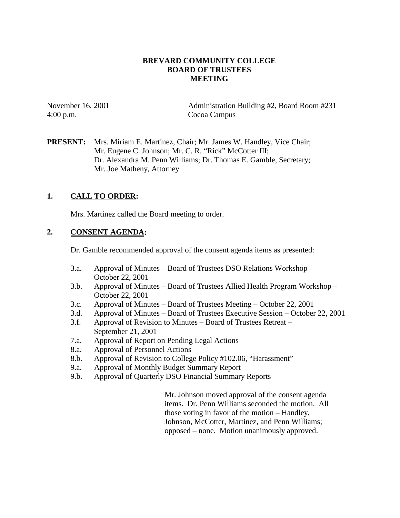### **BREVARD COMMUNITY COLLEGE BOARD OF TRUSTEES MEETING**

4:00 p.m. Cocoa Campus

November 16, 2001 Administration Building #2, Board Room #231

**PRESENT:** Mrs. Miriam E. Martinez, Chair; Mr. James W. Handley, Vice Chair; Mr. Eugene C. Johnson; Mr. C. R. "Rick" McCotter III; Dr. Alexandra M. Penn Williams; Dr. Thomas E. Gamble, Secretary; Mr. Joe Matheny, Attorney

## **1. CALL TO ORDER:**

Mrs. Martinez called the Board meeting to order.

## **2. CONSENT AGENDA:**

Dr. Gamble recommended approval of the consent agenda items as presented:

- 3.a. Approval of Minutes Board of Trustees DSO Relations Workshop October 22, 2001
- 3.b. Approval of Minutes Board of Trustees Allied Health Program Workshop October 22, 2001
- 3.c. Approval of Minutes Board of Trustees Meeting October 22, 2001
- 3.d. Approval of Minutes Board of Trustees Executive Session October 22, 2001
- 3.f. Approval of Revision to Minutes Board of Trustees Retreat September 21, 2001
- 7.a. Approval of Report on Pending Legal Actions
- 8.a. Approval of Personnel Actions
- 8.b. Approval of Revision to College Policy #102.06, "Harassment"
- 9.a. Approval of Monthly Budget Summary Report
- 9.b. Approval of Quarterly DSO Financial Summary Reports

 Mr. Johnson moved approval of the consent agenda items. Dr. Penn Williams seconded the motion. All those voting in favor of the motion – Handley, Johnson, McCotter, Martinez, and Penn Williams; opposed – none. Motion unanimously approved.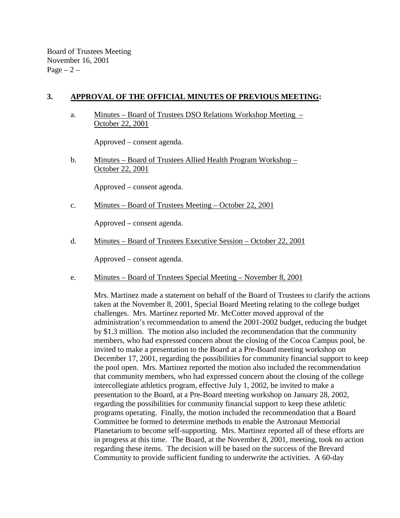Board of Trustees Meeting November 16, 2001  $Page - 2 -$ 

### **3. APPROVAL OF THE OFFICIAL MINUTES OF PREVIOUS MEETING:**

 a. Minutes – Board of Trustees DSO Relations Workshop Meeting – October 22, 2001

Approved – consent agenda.

 b. Minutes – Board of Trustees Allied Health Program Workshop – October 22, 2001

Approved – consent agenda.

c. Minutes – Board of Trustees Meeting – October 22, 2001

Approved – consent agenda.

d. Minutes – Board of Trustees Executive Session – October 22, 2001

Approved – consent agenda.

e. Minutes – Board of Trustees Special Meeting – November 8, 2001

Mrs. Martinez made a statement on behalf of the Board of Trustees to clarify the actions taken at the November 8, 2001, Special Board Meeting relating to the college budget challenges. Mrs. Martinez reported Mr. McCotter moved approval of the administration's recommendation to amend the 2001-2002 budget, reducing the budget by \$1.3 million. The motion also included the recommendation that the community members, who had expressed concern about the closing of the Cocoa Campus pool, be invited to make a presentation to the Board at a Pre-Board meeting workshop on December 17, 2001, regarding the possibilities for community financial support to keep the pool open. Mrs. Martinez reported the motion also included the recommendation that community members, who had expressed concern about the closing of the college intercollegiate athletics program, effective July 1, 2002, be invited to make a presentation to the Board, at a Pre-Board meeting workshop on January 28, 2002, regarding the possibilities for community financial support to keep these athletic programs operating. Finally, the motion included the recommendation that a Board Committee be formed to determine methods to enable the Astronaut Memorial Planetarium to become self-supporting. Mrs. Martinez reported all of these efforts are in progress at this time. The Board, at the November 8, 2001, meeting, took no action regarding these items. The decision will be based on the success of the Brevard Community to provide sufficient funding to underwrite the activities. A 60-day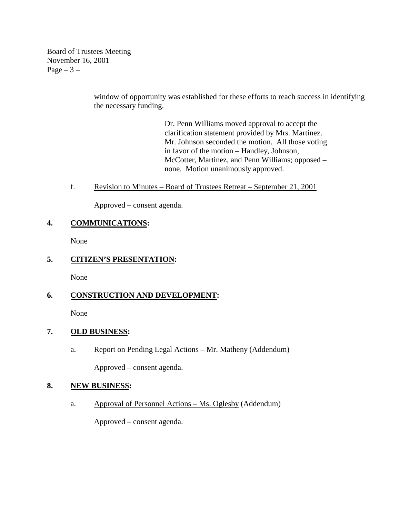Board of Trustees Meeting November 16, 2001 Page  $-3-$ 

> window of opportunity was established for these efforts to reach success in identifying the necessary funding.

> > Dr. Penn Williams moved approval to accept the clarification statement provided by Mrs. Martinez. Mr. Johnson seconded the motion. All those voting in favor of the motion – Handley, Johnson, McCotter, Martinez, and Penn Williams; opposed – none. Motion unanimously approved.

### f. Revision to Minutes – Board of Trustees Retreat – September 21, 2001

Approved – consent agenda.

## **4. COMMUNICATIONS:**

None

## **5. CITIZEN'S PRESENTATION:**

None

# **6. CONSTRUCTION AND DEVELOPMENT:**

None

## **7. OLD BUSINESS:**

a. Report on Pending Legal Actions – Mr. Matheny (Addendum)

Approved – consent agenda.

#### **8. NEW BUSINESS:**

a. Approval of Personnel Actions – Ms. Oglesby (Addendum)

Approved – consent agenda.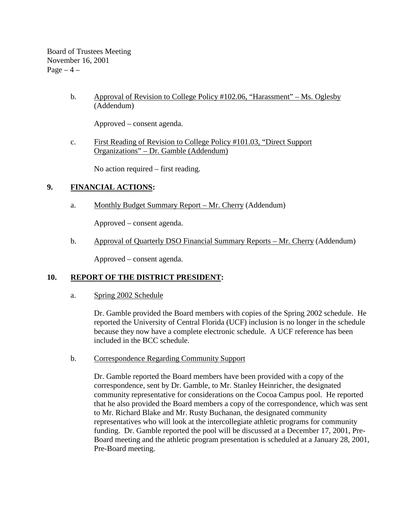Board of Trustees Meeting November 16, 2001  $Page-4$  –

> b. Approval of Revision to College Policy #102.06, "Harassment" – Ms. Oglesby (Addendum)

Approved – consent agenda.

 c. First Reading of Revision to College Policy #101.03, "Direct Support Organizations" – Dr. Gamble (Addendum)

No action required – first reading.

### **9. FINANCIAL ACTIONS:**

a. Monthly Budget Summary Report – Mr. Cherry (Addendum)

Approved – consent agenda.

b. Approval of Quarterly DSO Financial Summary Reports – Mr. Cherry (Addendum)

Approved – consent agenda.

#### **10. REPORT OF THE DISTRICT PRESIDENT:**

a. Spring 2002 Schedule

Dr. Gamble provided the Board members with copies of the Spring 2002 schedule. He reported the University of Central Florida (UCF) inclusion is no longer in the schedule because they now have a complete electronic schedule. A UCF reference has been included in the BCC schedule.

#### b. Correspondence Regarding Community Support

Dr. Gamble reported the Board members have been provided with a copy of the correspondence, sent by Dr. Gamble, to Mr. Stanley Heinricher, the designated community representative for considerations on the Cocoa Campus pool. He reported that he also provided the Board members a copy of the correspondence, which was sent to Mr. Richard Blake and Mr. Rusty Buchanan, the designated community representatives who will look at the intercollegiate athletic programs for community funding. Dr. Gamble reported the pool will be discussed at a December 17, 2001, Pre-Board meeting and the athletic program presentation is scheduled at a January 28, 2001, Pre-Board meeting.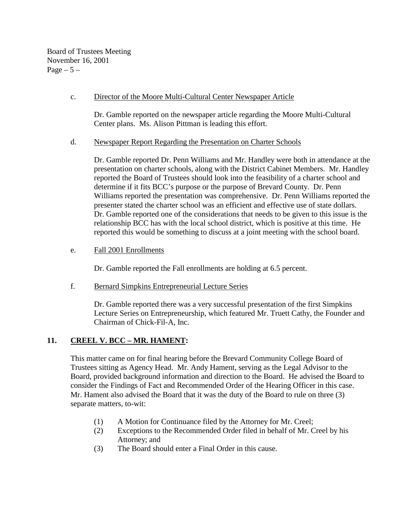Board of Trustees Meeting November 16, 2001 Page  $-5-$ 

### c. Director of the Moore Multi-Cultural Center Newspaper Article

Dr. Gamble reported on the newspaper article regarding the Moore Multi-Cultural Center plans. Ms. Alison Pittman is leading this effort.

#### d. Newspaper Report Regarding the Presentation on Charter Schools

Dr. Gamble reported Dr. Penn Williams and Mr. Handley were both in attendance at the presentation on charter schools, along with the District Cabinet Members. Mr. Handley reported the Board of Trustees should look into the feasibility of a charter school and determine if it fits BCC's purpose or the purpose of Brevard County. Dr. Penn Williams reported the presentation was comprehensive. Dr. Penn Williams reported the presenter stated the charter school was an efficient and effective use of state dollars. Dr. Gamble reported one of the considerations that needs to be given to this issue is the relationship BCC has with the local school district, which is positive at this time. He reported this would be something to discuss at a joint meeting with the school board.

#### e. Fall 2001 Enrollments

Dr. Gamble reported the Fall enrollments are holding at 6.5 percent.

f. Bernard Simpkins Entrepreneurial Lecture Series

Dr. Gamble reported there was a very successful presentation of the first Simpkins Lecture Series on Entrepreneurship, which featured Mr. Truett Cathy, the Founder and Chairman of Chick-Fil-A, Inc.

## **11. CREEL V. BCC – MR. HAMENT:**

This matter came on for final hearing before the Brevard Community College Board of Trustees sitting as Agency Head. Mr. Andy Hament, serving as the Legal Advisor to the Board, provided background information and direction to the Board. He advised the Board to consider the Findings of Fact and Recommended Order of the Hearing Officer in this case. Mr. Hament also advised the Board that it was the duty of the Board to rule on three (3) separate matters, to-wit:

- (1) A Motion for Continuance filed by the Attorney for Mr. Creel;
- (2) Exceptions to the Recommended Order filed in behalf of Mr. Creel by his Attorney; and
- (3) The Board should enter a Final Order in this cause.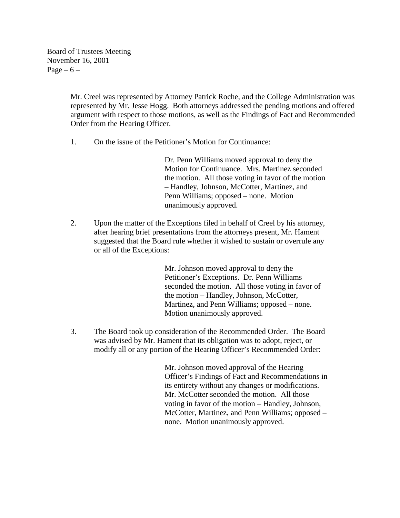Board of Trustees Meeting November 16, 2001 Page  $-6$  –

> Mr. Creel was represented by Attorney Patrick Roche, and the College Administration was represented by Mr. Jesse Hogg. Both attorneys addressed the pending motions and offered argument with respect to those motions, as well as the Findings of Fact and Recommended Order from the Hearing Officer.

1. On the issue of the Petitioner's Motion for Continuance:

Dr. Penn Williams moved approval to deny the Motion for Continuance. Mrs. Martinez seconded the motion. All those voting in favor of the motion – Handley, Johnson, McCotter, Martinez, and Penn Williams; opposed – none. Motion unanimously approved.

2. Upon the matter of the Exceptions filed in behalf of Creel by his attorney, after hearing brief presentations from the attorneys present, Mr. Hament suggested that the Board rule whether it wished to sustain or overrule any or all of the Exceptions:

> Mr. Johnson moved approval to deny the Petitioner's Exceptions. Dr. Penn Williams seconded the motion. All those voting in favor of the motion – Handley, Johnson, McCotter, Martinez, and Penn Williams; opposed – none. Motion unanimously approved.

3. The Board took up consideration of the Recommended Order. The Board was advised by Mr. Hament that its obligation was to adopt, reject, or modify all or any portion of the Hearing Officer's Recommended Order:

> Mr. Johnson moved approval of the Hearing Officer's Findings of Fact and Recommendations in its entirety without any changes or modifications. Mr. McCotter seconded the motion. All those voting in favor of the motion – Handley, Johnson, McCotter, Martinez, and Penn Williams; opposed – none. Motion unanimously approved.